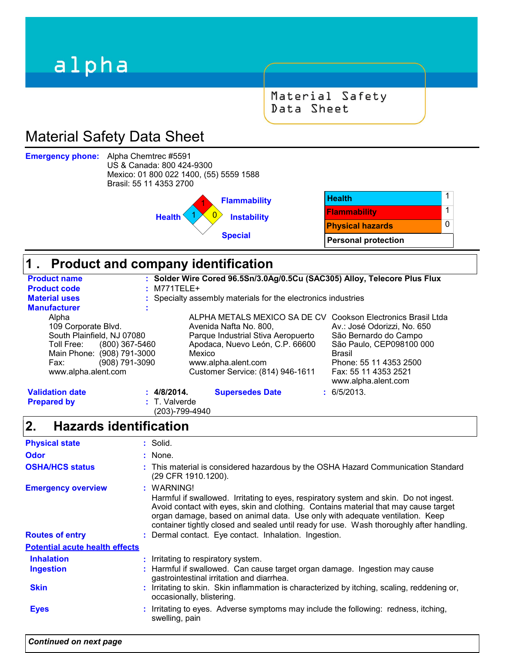# alpha

Material Safety Data Sheet

# Material Safety Data Sheet

**Emergency phone:**

Alpha Chemtrec #5591 US & Canada: 800 424-9300 Mexico: 01 800 022 1400, (55) 5559 1588 Brasil: 55 11 4353 2700



### **Product and company identification 1 .**

| <b>Product name</b>          |                                            | : Solder Wire Cored 96.5Sn/3.0Ag/0.5Cu (SAC305) Alloy, Telecore Plus Flux |                                                              |
|------------------------------|--------------------------------------------|---------------------------------------------------------------------------|--------------------------------------------------------------|
| <b>Product code</b>          | $:$ M771TELE+                              |                                                                           |                                                              |
| <b>Material uses</b>         |                                            | : Specialty assembly materials for the electronics industries             |                                                              |
| <b>Manufacturer</b>          |                                            |                                                                           |                                                              |
| Alpha                        |                                            |                                                                           | ALPHA METALS MEXICO SA DE CV Cookson Electronics Brasil Ltda |
| 109 Corporate Blvd.          |                                            | Avenida Nafta No. 800.                                                    | Av.: José Odorizzi, No. 650                                  |
| South Plainfield, NJ 07080   |                                            | Parque Industrial Stiva Aeropuerto                                        | São Bernardo do Campo                                        |
| Toll Free:<br>(800) 367-5460 |                                            | Apodaca, Nuevo León, C.P. 66600                                           | São Paulo, CEP098100 000                                     |
| Main Phone: (908) 791-3000   | Mexico                                     |                                                                           | <b>Brasil</b>                                                |
| (908) 791-3090<br>Fax:       |                                            | www.alpha.alent.com                                                       | Phone: 55 11 4353 2500                                       |
| www.alpha.alent.com          |                                            | Customer Service: (814) 946-1611                                          | Fax: 55 11 4353 2521<br>www.alpha.alent.com                  |
| <b>Validation date</b>       | : 4/8/2014.                                | <b>Supersedes Date</b>                                                    | : 6/5/2013.                                                  |
| <b>Prepared by</b>           | $\therefore$ T. Valverde<br>(203)-799-4940 |                                                                           |                                                              |

#### **Hazards identification 2.**

| <b>Physical state</b>                 | : Solid.                                                                                                                                                                                                                                                                                                                                                               |
|---------------------------------------|------------------------------------------------------------------------------------------------------------------------------------------------------------------------------------------------------------------------------------------------------------------------------------------------------------------------------------------------------------------------|
| <b>Odor</b>                           | $:$ None.                                                                                                                                                                                                                                                                                                                                                              |
| <b>OSHA/HCS status</b>                | : This material is considered hazardous by the OSHA Hazard Communication Standard<br>(29 CFR 1910.1200).                                                                                                                                                                                                                                                               |
| <b>Emergency overview</b>             | : WARNING!<br>Harmful if swallowed. Irritating to eyes, respiratory system and skin. Do not ingest.<br>Avoid contact with eyes, skin and clothing. Contains material that may cause target<br>organ damage, based on animal data. Use only with adequate ventilation. Keep<br>container tightly closed and sealed until ready for use. Wash thoroughly after handling. |
| <b>Routes of entry</b>                | : Dermal contact. Eye contact. Inhalation. Ingestion.                                                                                                                                                                                                                                                                                                                  |
| <b>Potential acute health effects</b> |                                                                                                                                                                                                                                                                                                                                                                        |
| <b>Inhalation</b>                     | : Irritating to respiratory system.                                                                                                                                                                                                                                                                                                                                    |
| <b>Ingestion</b>                      | : Harmful if swallowed. Can cause target organ damage. Ingestion may cause<br>gastrointestinal irritation and diarrhea.                                                                                                                                                                                                                                                |
| <b>Skin</b>                           | : Irritating to skin. Skin inflammation is characterized by itching, scaling, reddening or,<br>occasionally, blistering.                                                                                                                                                                                                                                               |
| <b>Eyes</b>                           | : Irritating to eyes. Adverse symptoms may include the following: redness, itching,<br>swelling, pain                                                                                                                                                                                                                                                                  |
|                                       |                                                                                                                                                                                                                                                                                                                                                                        |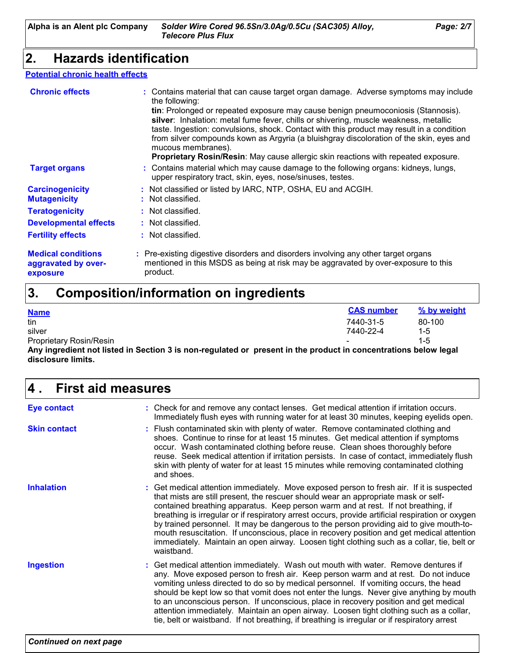### **2. Hazards identification**

### **Potential chronic health effects**

| <b>Chronic effects</b>                                       | : Contains material that can cause target organ damage. Adverse symptoms may include<br>the following:<br>tin: Prolonged or repeated exposure may cause benign pneumoconiosis (Stannosis).<br>silver: Inhalation: metal fume fever, chills or shivering, muscle weakness, metallic<br>taste. Ingestion: convulsions, shock. Contact with this product may result in a condition<br>from silver compounds kown as Argyria (a bluishgray discoloration of the skin, eyes and<br>mucous membranes).<br>Proprietary Rosin/Resin: May cause allergic skin reactions with repeated exposure. |
|--------------------------------------------------------------|----------------------------------------------------------------------------------------------------------------------------------------------------------------------------------------------------------------------------------------------------------------------------------------------------------------------------------------------------------------------------------------------------------------------------------------------------------------------------------------------------------------------------------------------------------------------------------------|
| <b>Target organs</b>                                         | : Contains material which may cause damage to the following organs: kidneys, lungs,<br>upper respiratory tract, skin, eyes, nose/sinuses, testes.                                                                                                                                                                                                                                                                                                                                                                                                                                      |
| <b>Carcinogenicity</b><br><b>Mutagenicity</b>                | : Not classified or listed by IARC, NTP, OSHA, EU and ACGIH.<br>: Not classified.                                                                                                                                                                                                                                                                                                                                                                                                                                                                                                      |
| <b>Teratogenicity</b>                                        | : Not classified.                                                                                                                                                                                                                                                                                                                                                                                                                                                                                                                                                                      |
| <b>Developmental effects</b>                                 | : Not classified.                                                                                                                                                                                                                                                                                                                                                                                                                                                                                                                                                                      |
| <b>Fertility effects</b>                                     | : Not classified.                                                                                                                                                                                                                                                                                                                                                                                                                                                                                                                                                                      |
| <b>Medical conditions</b><br>aggravated by over-<br>exposure | : Pre-existing digestive disorders and disorders involving any other target organs<br>mentioned in this MSDS as being at risk may be aggravated by over-exposure to this<br>product.                                                                                                                                                                                                                                                                                                                                                                                                   |

### **Composition/information on ingredients 3.**

| <b>Name</b>                                                                                                     | <b>CAS number</b> | % by weight |
|-----------------------------------------------------------------------------------------------------------------|-------------------|-------------|
| tin                                                                                                             | 7440-31-5         | 80-100      |
| silver                                                                                                          | 7440-22-4         | $1 - 5$     |
| <b>Proprietary Rosin/Resin</b>                                                                                  |                   |             |
| Any ingredient not listed in Section 3 is non-regulated or present in the product in concentrations below legal |                   |             |

**disclosure limits.**

| 4.<br><b>First aid measures</b> |                                                                                                                                                                                                                                                                                                                                                                                                                                                                                                                                                                                                                                                                              |  |
|---------------------------------|------------------------------------------------------------------------------------------------------------------------------------------------------------------------------------------------------------------------------------------------------------------------------------------------------------------------------------------------------------------------------------------------------------------------------------------------------------------------------------------------------------------------------------------------------------------------------------------------------------------------------------------------------------------------------|--|
| <b>Eye contact</b>              | : Check for and remove any contact lenses. Get medical attention if irritation occurs.<br>Immediately flush eyes with running water for at least 30 minutes, keeping eyelids open.                                                                                                                                                                                                                                                                                                                                                                                                                                                                                           |  |
| <b>Skin contact</b>             | : Flush contaminated skin with plenty of water. Remove contaminated clothing and<br>shoes. Continue to rinse for at least 15 minutes. Get medical attention if symptoms<br>occur. Wash contaminated clothing before reuse. Clean shoes thoroughly before<br>reuse. Seek medical attention if irritation persists. In case of contact, immediately flush<br>skin with plenty of water for at least 15 minutes while removing contaminated clothing<br>and shoes.                                                                                                                                                                                                              |  |
| <b>Inhalation</b>               | : Get medical attention immediately. Move exposed person to fresh air. If it is suspected<br>that mists are still present, the rescuer should wear an appropriate mask or self-<br>contained breathing apparatus. Keep person warm and at rest. If not breathing, if<br>breathing is irregular or if respiratory arrest occurs, provide artificial respiration or oxygen<br>by trained personnel. It may be dangerous to the person providing aid to give mouth-to-<br>mouth resuscitation. If unconscious, place in recovery position and get medical attention<br>immediately. Maintain an open airway. Loosen tight clothing such as a collar, tie, belt or<br>waistband. |  |
| <b>Ingestion</b>                | : Get medical attention immediately. Wash out mouth with water. Remove dentures if<br>any. Move exposed person to fresh air. Keep person warm and at rest. Do not induce<br>vomiting unless directed to do so by medical personnel. If vomiting occurs, the head<br>should be kept low so that vomit does not enter the lungs. Never give anything by mouth<br>to an unconscious person. If unconscious, place in recovery position and get medical<br>attention immediately. Maintain an open airway. Loosen tight clothing such as a collar,<br>tie, belt or waistband. If not breathing, if breathing is irregular or if respiratory arrest                               |  |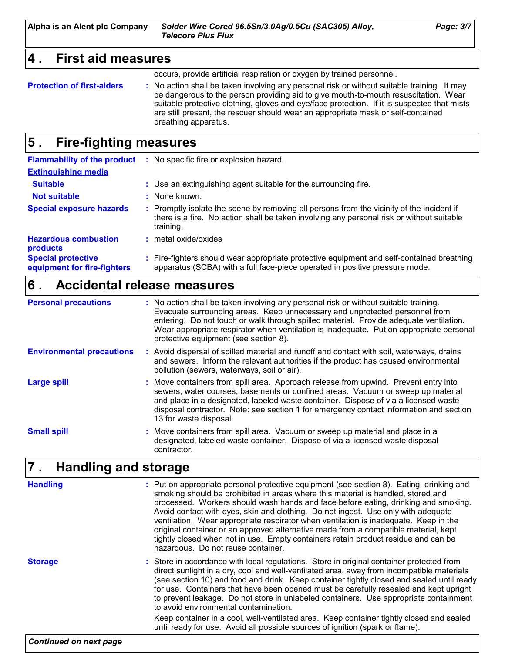**Alpha is an Alent plc Company** *Solder Wire Cored 96.5Sn/3.0Ag/0.5Cu (SAC305) Alloy, Page: 3/7 Telecore Plus Flux*

### **4 . First aid measures**

occurs, provide artificial respiration or oxygen by trained personnel.

**Protection of first-aiders** : No action shall be taken involving any personal risk or without suitable training. It may be dangerous to the person providing aid to give mouth-to-mouth resuscitation. Wear suitable protective clothing, gloves and eye/face protection. If it is suspected that mists are still present, the rescuer should wear an appropriate mask or self-contained breathing apparatus.

### **Fire-fighting measures 5 .**

|                                                          | <b>Flammability of the product :</b> No specific fire or explosion hazard.                                                                                                                          |
|----------------------------------------------------------|-----------------------------------------------------------------------------------------------------------------------------------------------------------------------------------------------------|
| <b>Extinguishing media</b>                               |                                                                                                                                                                                                     |
| <b>Suitable</b>                                          | : Use an extinguishing agent suitable for the surrounding fire.                                                                                                                                     |
| <b>Not suitable</b>                                      | : None known.                                                                                                                                                                                       |
| <b>Special exposure hazards</b>                          | : Promptly isolate the scene by removing all persons from the vicinity of the incident if<br>there is a fire. No action shall be taken involving any personal risk or without suitable<br>training. |
| <b>Hazardous combustion</b><br>products                  | : metal oxide/oxides                                                                                                                                                                                |
| <b>Special protective</b><br>equipment for fire-fighters | : Fire-fighters should wear appropriate protective equipment and self-contained breathing<br>apparatus (SCBA) with a full face-piece operated in positive pressure mode.                            |

### **Accidental release measures 6 .**

| <b>Personal precautions</b>      | : No action shall be taken involving any personal risk or without suitable training.<br>Evacuate surrounding areas. Keep unnecessary and unprotected personnel from<br>entering. Do not touch or walk through spilled material. Provide adequate ventilation.<br>Wear appropriate respirator when ventilation is inadequate. Put on appropriate personal<br>protective equipment (see section 8). |
|----------------------------------|---------------------------------------------------------------------------------------------------------------------------------------------------------------------------------------------------------------------------------------------------------------------------------------------------------------------------------------------------------------------------------------------------|
| <b>Environmental precautions</b> | : Avoid dispersal of spilled material and runoff and contact with soil, waterways, drains<br>and sewers. Inform the relevant authorities if the product has caused environmental<br>pollution (sewers, waterways, soil or air).                                                                                                                                                                   |
| <b>Large spill</b>               | : Move containers from spill area. Approach release from upwind. Prevent entry into<br>sewers, water courses, basements or confined areas. Vacuum or sweep up material<br>and place in a designated, labeled waste container. Dispose of via a licensed waste<br>disposal contractor. Note: see section 1 for emergency contact information and section<br>13 for waste disposal.                 |
| <b>Small spill</b>               | : Move containers from spill area. Vacuum or sweep up material and place in a<br>designated, labeled waste container. Dispose of via a licensed waste disposal<br>contractor.                                                                                                                                                                                                                     |

### **Handling and storage 7 .**

| : Store in accordance with local regulations. Store in original container protected from<br><b>Storage</b><br>direct sunlight in a dry, cool and well-ventilated area, away from incompatible materials<br>(see section 10) and food and drink. Keep container tightly closed and sealed until ready<br>for use. Containers that have been opened must be carefully resealed and kept upright<br>to prevent leakage. Do not store in unlabeled containers. Use appropriate containment<br>to avoid environmental contamination.<br>Keep container in a cool, well-ventilated area. Keep container tightly closed and sealed | <b>Handling</b> | : Put on appropriate personal protective equipment (see section 8). Eating, drinking and<br>smoking should be prohibited in areas where this material is handled, stored and<br>processed. Workers should wash hands and face before eating, drinking and smoking.<br>Avoid contact with eyes, skin and clothing. Do not ingest. Use only with adequate<br>ventilation. Wear appropriate respirator when ventilation is inadequate. Keep in the<br>original container or an approved alternative made from a compatible material, kept<br>tightly closed when not in use. Empty containers retain product residue and can be<br>hazardous. Do not reuse container. |
|-----------------------------------------------------------------------------------------------------------------------------------------------------------------------------------------------------------------------------------------------------------------------------------------------------------------------------------------------------------------------------------------------------------------------------------------------------------------------------------------------------------------------------------------------------------------------------------------------------------------------------|-----------------|--------------------------------------------------------------------------------------------------------------------------------------------------------------------------------------------------------------------------------------------------------------------------------------------------------------------------------------------------------------------------------------------------------------------------------------------------------------------------------------------------------------------------------------------------------------------------------------------------------------------------------------------------------------------|
| until ready for use. Avoid all possible sources of ignition (spark or flame).                                                                                                                                                                                                                                                                                                                                                                                                                                                                                                                                               |                 |                                                                                                                                                                                                                                                                                                                                                                                                                                                                                                                                                                                                                                                                    |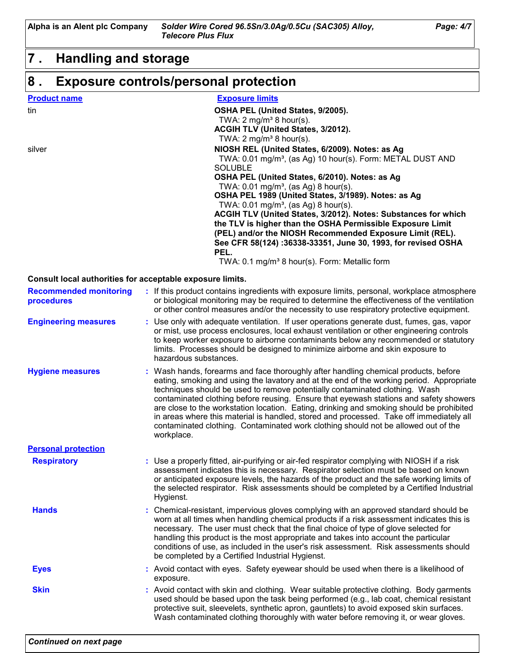**Alpha is an Alent plc Company** *Solder Wire Cored 96.5Sn/3.0Ag/0.5Cu (SAC305) Alloy, Page: 4/7 Telecore Plus Flux*

# **7 . Handling and storage**

### **Exposure controls/personal protection 8 .**

| <b>Product name</b> | <b>Exposure limits</b>                                                                                                                                                                                                                                                                                                                                                                                                                                                                                                                                                                                                          |
|---------------------|---------------------------------------------------------------------------------------------------------------------------------------------------------------------------------------------------------------------------------------------------------------------------------------------------------------------------------------------------------------------------------------------------------------------------------------------------------------------------------------------------------------------------------------------------------------------------------------------------------------------------------|
| tin                 | OSHA PEL (United States, 9/2005).<br>TWA: $2 \text{ mg/m}^3$ 8 hour(s).<br>ACGIH TLV (United States, 3/2012).<br>TWA: $2 \text{ mg/m}^3$ 8 hour(s).                                                                                                                                                                                                                                                                                                                                                                                                                                                                             |
| silver              | NIOSH REL (United States, 6/2009). Notes: as Ag<br>TWA: 0.01 mg/m <sup>3</sup> , (as Ag) 10 hour(s). Form: METAL DUST AND<br><b>SOLUBLE</b><br>OSHA PEL (United States, 6/2010). Notes: as Ag<br>TWA: $0.01 \text{ mg/m}^3$ , (as Ag) 8 hour(s).<br>OSHA PEL 1989 (United States, 3/1989). Notes: as Ag<br>TWA: $0.01 \text{ mg/m}^3$ , (as Ag) 8 hour(s).<br>ACGIH TLV (United States, 3/2012). Notes: Substances for which<br>the TLV is higher than the OSHA Permissible Exposure Limit<br>(PEL) and/or the NIOSH Recommended Exposure Limit (REL).<br>See CFR 58(124) :36338-33351, June 30, 1993, for revised OSHA<br>PEL. |
|                     | TWA: 0.1 mg/m <sup>3</sup> 8 hour(s). Form: Metallic form                                                                                                                                                                                                                                                                                                                                                                                                                                                                                                                                                                       |

#### **Consult local authorities for acceptable exposure limits.**

| <b>Recommended monitoring</b><br>procedures | : If this product contains ingredients with exposure limits, personal, workplace atmosphere<br>or biological monitoring may be required to determine the effectiveness of the ventilation<br>or other control measures and/or the necessity to use respiratory protective equipment.                                                                                                                                                                                                                                                                                                                                                               |
|---------------------------------------------|----------------------------------------------------------------------------------------------------------------------------------------------------------------------------------------------------------------------------------------------------------------------------------------------------------------------------------------------------------------------------------------------------------------------------------------------------------------------------------------------------------------------------------------------------------------------------------------------------------------------------------------------------|
| <b>Engineering measures</b>                 | : Use only with adequate ventilation. If user operations generate dust, fumes, gas, vapor<br>or mist, use process enclosures, local exhaust ventilation or other engineering controls<br>to keep worker exposure to airborne contaminants below any recommended or statutory<br>limits. Processes should be designed to minimize airborne and skin exposure to<br>hazardous substances.                                                                                                                                                                                                                                                            |
| <b>Hygiene measures</b>                     | : Wash hands, forearms and face thoroughly after handling chemical products, before<br>eating, smoking and using the lavatory and at the end of the working period. Appropriate<br>techniques should be used to remove potentially contaminated clothing. Wash<br>contaminated clothing before reusing. Ensure that eyewash stations and safety showers<br>are close to the workstation location. Eating, drinking and smoking should be prohibited<br>in areas where this material is handled, stored and processed. Take off immediately all<br>contaminated clothing. Contaminated work clothing should not be allowed out of the<br>workplace. |
| <b>Personal protection</b>                  |                                                                                                                                                                                                                                                                                                                                                                                                                                                                                                                                                                                                                                                    |
| <b>Respiratory</b>                          | : Use a properly fitted, air-purifying or air-fed respirator complying with NIOSH if a risk<br>assessment indicates this is necessary. Respirator selection must be based on known<br>or anticipated exposure levels, the hazards of the product and the safe working limits of<br>the selected respirator. Risk assessments should be completed by a Certified Industrial<br>Hygienst.                                                                                                                                                                                                                                                            |
| <b>Hands</b>                                | : Chemical-resistant, impervious gloves complying with an approved standard should be<br>worn at all times when handling chemical products if a risk assessment indicates this is<br>necessary. The user must check that the final choice of type of glove selected for<br>handling this product is the most appropriate and takes into account the particular<br>conditions of use, as included in the user's risk assessment. Risk assessments should<br>be completed by a Certified Industrial Hygienst.                                                                                                                                        |
| <b>Eyes</b>                                 | : Avoid contact with eyes. Safety eyewear should be used when there is a likelihood of<br>exposure.                                                                                                                                                                                                                                                                                                                                                                                                                                                                                                                                                |
| <b>Skin</b>                                 | : Avoid contact with skin and clothing. Wear suitable protective clothing. Body garments<br>used should be based upon the task being performed (e.g., lab coat, chemical resistant<br>protective suit, sleevelets, synthetic apron, gauntlets) to avoid exposed skin surfaces.<br>Wash contaminated clothing thoroughly with water before removing it, or wear gloves.                                                                                                                                                                                                                                                                             |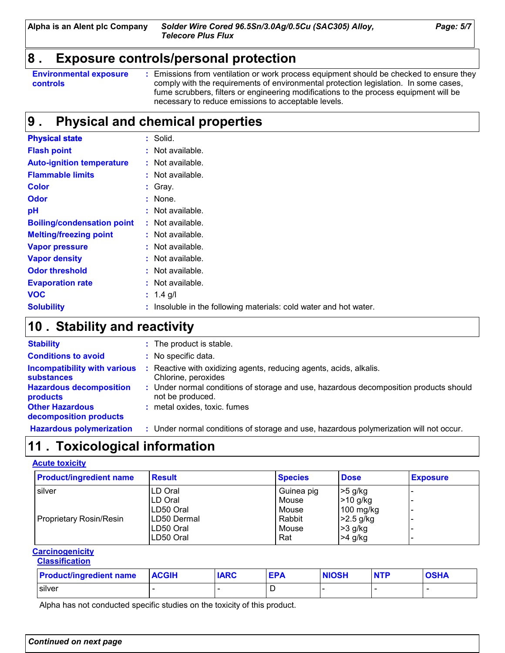### **8 . Exposure controls/personal protection**

**:** Emissions from ventilation or work process equipment should be checked to ensure they comply with the requirements of environmental protection legislation. In some cases, fume scrubbers, filters or engineering modifications to the process equipment will be necessary to reduce emissions to acceptable levels.

# **Physical and chemical properties 9 .**

| <b>Physical state</b>             | : Solid.                                                        |
|-----------------------------------|-----------------------------------------------------------------|
| <b>Flash point</b>                | : Not available.                                                |
| <b>Auto-ignition temperature</b>  | : Not available.                                                |
| <b>Flammable limits</b>           | : Not available.                                                |
| <b>Color</b>                      | $:$ Gray.                                                       |
| <b>Odor</b>                       | : None.                                                         |
| pH                                | $:$ Not available.                                              |
| <b>Boiling/condensation point</b> | $:$ Not available.                                              |
| <b>Melting/freezing point</b>     | : Not available.                                                |
| <b>Vapor pressure</b>             | : Not available.                                                |
| <b>Vapor density</b>              | : Not available.                                                |
| <b>Odor threshold</b>             | $:$ Not available.                                              |
| <b>Evaporation rate</b>           | : Not available.                                                |
| <b>VOC</b>                        | : $1.4$ g/l                                                     |
| <b>Solubility</b>                 | Insoluble in the following materials: cold water and hot water. |

### **Stability and reactivity 10 .**

| <b>Stability</b>                                         | : The product is stable.                                                                                  |
|----------------------------------------------------------|-----------------------------------------------------------------------------------------------------------|
| <b>Conditions to avoid</b>                               | : No specific data.                                                                                       |
| <b>Incompatibility with various</b><br><b>substances</b> | : Reactive with oxidizing agents, reducing agents, acids, alkalis.<br>Chlorine, peroxides                 |
| <b>Hazardous decomposition</b><br>products               | : Under normal conditions of storage and use, hazardous decomposition products should<br>not be produced. |
| <b>Other Hazardous</b><br>decomposition products         | : metal oxides, toxic. fumes                                                                              |
| <b>Hazardous polymerization</b>                          | : Under normal conditions of storage and use, hazardous polymerization will not occur.                    |

# **11 . Toxicological information**

#### **Acute toxicity**

| <b>Product/ingredient name</b> | <b>Result</b> | <b>Species</b> | <b>Dose</b> | <b>Exposure</b>          |
|--------------------------------|---------------|----------------|-------------|--------------------------|
| silver                         | LD Oral       | Guinea pig     | >5 g/kg     |                          |
|                                | ILD Oral      | Mouse          | >10 g/kg    |                          |
|                                | LD50 Oral     | Mouse          | $100$ mg/kg | -                        |
| Proprietary Rosin/Resin        | LD50 Dermal   | Rabbit         | $>2.5$ g/kg |                          |
|                                | LD50 Oral     | Mouse          | >3 g/kg     |                          |
|                                | LD50 Oral     | Rat            | $>4$ g/kg   | $\overline{\phantom{a}}$ |

#### **Carcinogenicity Classification**

| <b>Product/ingredient name</b> | <b>ACGIH</b> | <b>IARC</b> | <b>EPA</b> | <b>NIOSH</b> | <b>NTP</b> | <b>OSHA</b> |
|--------------------------------|--------------|-------------|------------|--------------|------------|-------------|
| silver                         |              |             |            |              |            |             |

Alpha has not conducted specific studies on the toxicity of this product.

**Environmental exposure controls**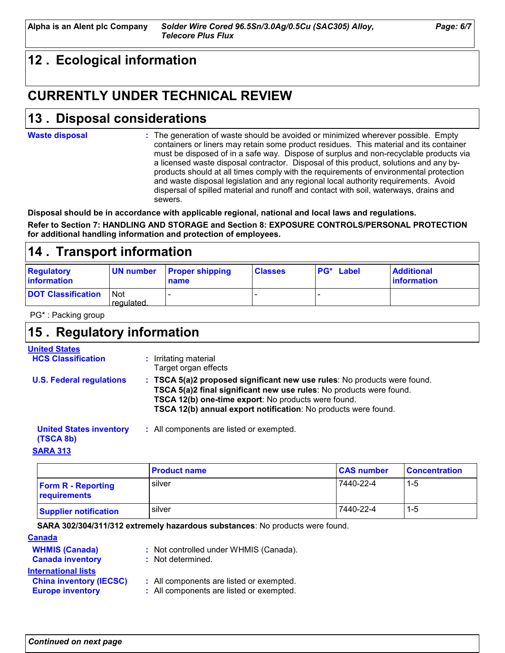# **12 . Ecological information**

# **CURRENTLY UNDER TECHNICAL REVIEW**

# **Disposal considerations 13 .**

#### **Waste disposal**

The generation of waste should be avoided or minimized wherever possible. Empty **:** containers or liners may retain some product residues. This material and its container must be disposed of in a safe way. Dispose of surplus and non-recyclable products via a licensed waste disposal contractor. Disposal of this product, solutions and any byproducts should at all times comply with the requirements of environmental protection and waste disposal legislation and any regional local authority requirements. Avoid dispersal of spilled material and runoff and contact with soil, waterways, drains and sewers.

**Disposal should be in accordance with applicable regional, national and local laws and regulations. Refer to Section 7: HANDLING AND STORAGE and Section 8: EXPOSURE CONTROLS/PERSONAL PROTECTION for additional handling information and protection of employees.**

### **14 . Transport information**

| <b>Regulatory</b><br>information | UN number         | <b>Proper shipping</b><br>name | <b>Classes</b> | <b>PG*</b> Label | <b>Additional</b><br><b>Information</b> |
|----------------------------------|-------------------|--------------------------------|----------------|------------------|-----------------------------------------|
| <b>DOT Classification</b>        | Not<br>requiated. |                                |                |                  |                                         |

PG\* : Packing group

### **15 . Regulatory information**

#### **United States**

| JIIIWU UWW                      | : Irritating material                                                                                                                                                                                                                                                    |
|---------------------------------|--------------------------------------------------------------------------------------------------------------------------------------------------------------------------------------------------------------------------------------------------------------------------|
| <b>HCS Classification</b>       | Target organ effects                                                                                                                                                                                                                                                     |
| <b>U.S. Federal regulations</b> | : TSCA 5(a)2 proposed significant new use rules: No products were found.<br>TSCA 5(a)2 final significant new use rules: No products were found.<br>TSCA 12(b) one-time export: No products were found.<br>TSCA 12(b) annual export notification: No products were found. |

#### All components are listed or exempted. **: United States inventory**

### **(TSCA 8b)**

**SARA 313**

|                                           | <b>Product name</b> | <b>CAS number</b> | <b>Concentration</b> |
|-------------------------------------------|---------------------|-------------------|----------------------|
| <b>Form R - Reporting</b><br>requirements | silver              | 7440-22-4         | 1-5                  |
| <b>Supplier notification</b>              | silver              | 7440-22-4         | 1-5                  |

#### **SARA 302/304/311/312 extremely hazardous substances**: No products were found.

#### **WHMIS (Canada)** : Not controlled under WHMIS (Canada). **Canada Canada inventory :** Not determined. **China inventory (IECSC) :** All components are listed or exempted. **Europe inventory :** All components are listed or exempted. **International lists**